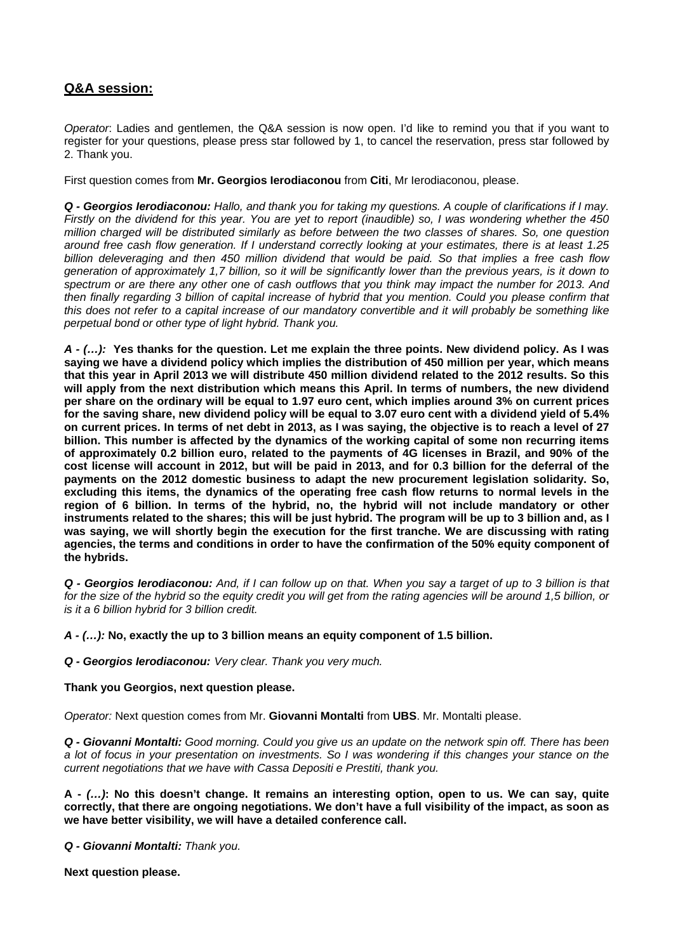# **Q&A session:**

*Operator*: Ladies and gentlemen, the Q&A session is now open. I'd like to remind you that if you want to register for your questions, please press star followed by 1, to cancel the reservation, press star followed by 2. Thank you.

First question comes from **Mr. Georgios Ierodiaconou** from **Citi**, Mr Ierodiaconou, please.

*Q - Georgios Ierodiaconou: Hallo, and thank you for taking my questions. A couple of clarifications if I may. Firstly on the dividend for this year. You are yet to report (inaudible) so, I was wondering whether the 450 million charged will be distributed similarly as before between the two classes of shares. So, one question around free cash flow generation. If I understand correctly looking at your estimates, there is at least 1.25 billion deleveraging and then 450 million dividend that would be paid. So that implies a free cash flow generation of approximately 1,7 billion, so it will be significantly lower than the previous years, is it down to spectrum or are there any other one of cash outflows that you think may impact the number for 2013. And then finally regarding 3 billion of capital increase of hybrid that you mention. Could you please confirm that this does not refer to a capital increase of our mandatory convertible and it will probably be something like perpetual bond or other type of light hybrid. Thank you.* 

*A - (…):* **Yes thanks for the question. Let me explain the three points. New dividend policy. As I was saying we have a dividend policy which implies the distribution of 450 million per year, which means that this year in April 2013 we will distribute 450 million dividend related to the 2012 results. So this will apply from the next distribution which means this April. In terms of numbers, the new dividend per share on the ordinary will be equal to 1.97 euro cent, which implies around 3% on current prices for the saving share, new dividend policy will be equal to 3.07 euro cent with a dividend yield of 5.4% on current prices. In terms of net debt in 2013, as I was saying, the objective is to reach a level of 27 billion. This number is affected by the dynamics of the working capital of some non recurring items of approximately 0.2 billion euro, related to the payments of 4G licenses in Brazil, and 90% of the cost license will account in 2012, but will be paid in 2013, and for 0.3 billion for the deferral of the payments on the 2012 domestic business to adapt the new procurement legislation solidarity. So, excluding this items, the dynamics of the operating free cash flow returns to normal levels in the region of 6 billion. In terms of the hybrid, no, the hybrid will not include mandatory or other instruments related to the shares; this will be just hybrid. The program will be up to 3 billion and, as I was saying, we will shortly begin the execution for the first tranche. We are discussing with rating agencies, the terms and conditions in order to have the confirmation of the 50% equity component of the hybrids.** 

*Q - Georgios Ierodiaconou: And, if I can follow up on that. When you say a target of up to 3 billion is that*  for the size of the hybrid so the equity credit you will get from the rating agencies will be around 1,5 billion, or *is it a 6 billion hybrid for 3 billion credit.*

*A - (…):* **No, exactly the up to 3 billion means an equity component of 1.5 billion.** 

*Q - Georgios Ierodiaconou: Very clear. Thank you very much.* 

# **Thank you Georgios, next question please.**

*Operator:* Next question comes from Mr. **Giovanni Montalti** from **UBS**. Mr. Montalti please.

*Q - Giovanni Montalti: Good morning. Could you give us an update on the network spin off. There has been a lot of focus in your presentation on investments. So I was wondering if this changes your stance on the current negotiations that we have with Cassa Depositi e Prestiti, thank you.*

**A -** *(…)***: No this doesn't change. It remains an interesting option, open to us. We can say, quite correctly, that there are ongoing negotiations. We don't have a full visibility of the impact, as soon as we have better visibility, we will have a detailed conference call.** 

*Q - Giovanni Montalti: Thank you.* 

**Next question please.**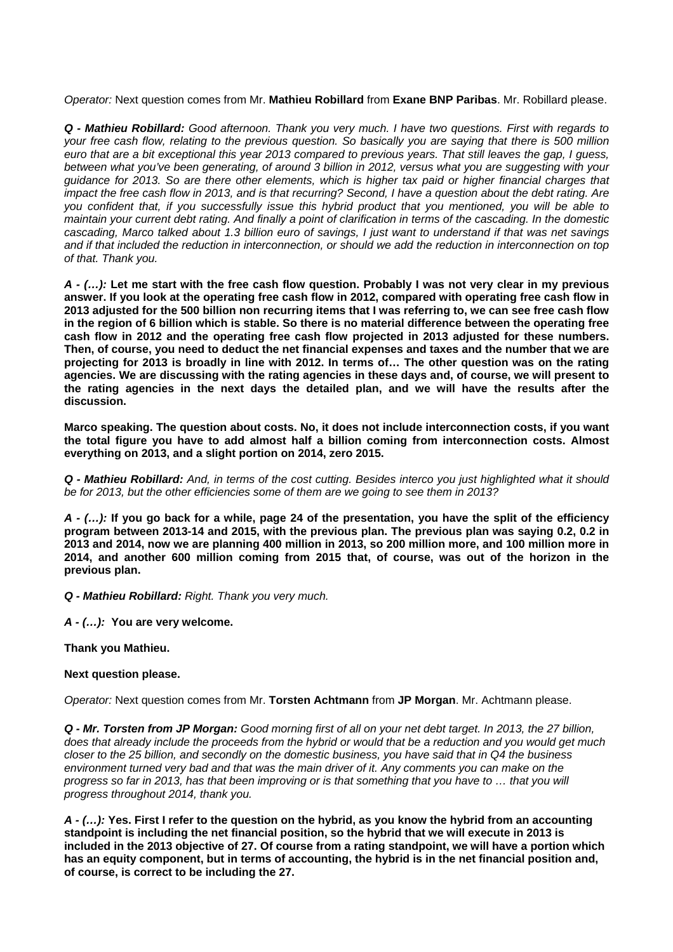*Operator:* Next question comes from Mr. **Mathieu Robillard** from **Exane BNP Paribas**. Mr. Robillard please.

*Q - Mathieu Robillard: Good afternoon. Thank you very much. I have two questions. First with regards to your free cash flow, relating to the previous question. So basically you are saying that there is 500 million euro that are a bit exceptional this year 2013 compared to previous years. That still leaves the gap, I guess, between what you've been generating, of around 3 billion in 2012, versus what you are suggesting with your guidance for 2013. So are there other elements, which is higher tax paid or higher financial charges that impact the free cash flow in 2013, and is that recurring? Second, I have a question about the debt rating. Are you confident that, if you successfully issue this hybrid product that you mentioned, you will be able to maintain your current debt rating. And finally a point of clarification in terms of the cascading. In the domestic cascading, Marco talked about 1.3 billion euro of savings, I just want to understand if that was net savings and if that included the reduction in interconnection, or should we add the reduction in interconnection on top of that. Thank you.* 

*A - (…):* **Let me start with the free cash flow question. Probably I was not very clear in my previous answer. If you look at the operating free cash flow in 2012, compared with operating free cash flow in 2013 adjusted for the 500 billion non recurring items that I was referring to, we can see free cash flow in the region of 6 billion which is stable. So there is no material difference between the operating free cash flow in 2012 and the operating free cash flow projected in 2013 adjusted for these numbers. Then, of course, you need to deduct the net financial expenses and taxes and the number that we are projecting for 2013 is broadly in line with 2012. In terms of… The other question was on the rating agencies. We are discussing with the rating agencies in these days and, of course, we will present to the rating agencies in the next days the detailed plan, and we will have the results after the discussion.** 

**Marco speaking. The question about costs. No, it does not include interconnection costs, if you want the total figure you have to add almost half a billion coming from interconnection costs. Almost everything on 2013, and a slight portion on 2014, zero 2015.** 

*Q - Mathieu Robillard: And, in terms of the cost cutting. Besides interco you just highlighted what it should be for 2013, but the other efficiencies some of them are we going to see them in 2013?*

*A - (…):* **If you go back for a while, page 24 of the presentation, you have the split of the efficiency program between 2013-14 and 2015, with the previous plan. The previous plan was saying 0.2, 0.2 in 2013 and 2014, now we are planning 400 million in 2013, so 200 million more, and 100 million more in 2014, and another 600 million coming from 2015 that, of course, was out of the horizon in the previous plan.**

*Q - Mathieu Robillard: Right. Thank you very much.*

*A - (…):* **You are very welcome.** 

# **Thank you Mathieu.**

# **Next question please.**

*Operator:* Next question comes from Mr. **Torsten Achtmann** from **JP Morgan**. Mr. Achtmann please.

*Q - Mr. Torsten from JP Morgan: Good morning first of all on your net debt target. In 2013, the 27 billion, does that already include the proceeds from the hybrid or would that be a reduction and you would get much closer to the 25 billion, and secondly on the domestic business, you have said that in Q4 the business environment turned very bad and that was the main driver of it. Any comments you can make on the progress so far in 2013, has that been improving or is that something that you have to … that you will progress throughout 2014, thank you.* 

*A - (…):* **Yes. First I refer to the question on the hybrid, as you know the hybrid from an accounting standpoint is including the net financial position, so the hybrid that we will execute in 2013 is included in the 2013 objective of 27. Of course from a rating standpoint, we will have a portion which has an equity component, but in terms of accounting, the hybrid is in the net financial position and, of course, is correct to be including the 27.**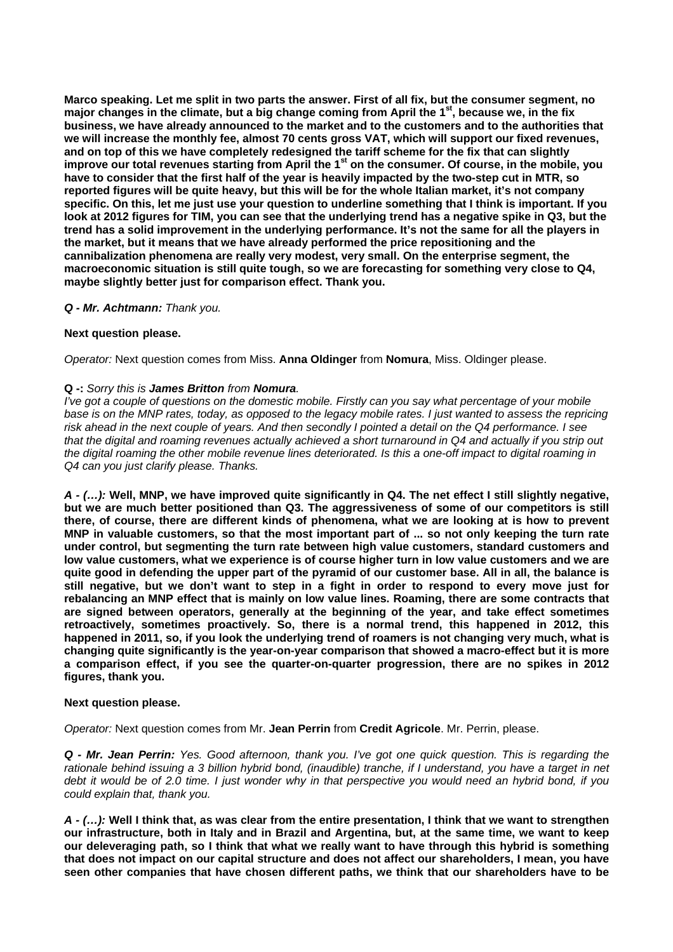**Marco speaking. Let me split in two parts the answer. First of all fix, but the consumer segment, no major changes in the climate, but a big change coming from April the 1st, because we, in the fix business, we have already announced to the market and to the customers and to the authorities that we will increase the monthly fee, almost 70 cents gross VAT, which will support our fixed revenues, and on top of this we have completely redesigned the tariff scheme for the fix that can slightly improve our total revenues starting from April the 1st on the consumer. Of course, in the mobile, you have to consider that the first half of the year is heavily impacted by the two-step cut in MTR, so reported figures will be quite heavy, but this will be for the whole Italian market, it's not company specific. On this, let me just use your question to underline something that I think is important. If you look at 2012 figures for TIM, you can see that the underlying trend has a negative spike in Q3, but the trend has a solid improvement in the underlying performance. It's not the same for all the players in the market, but it means that we have already performed the price repositioning and the cannibalization phenomena are really very modest, very small. On the enterprise segment, the macroeconomic situation is still quite tough, so we are forecasting for something very close to Q4, maybe slightly better just for comparison effect. Thank you.** 

# *Q - Mr. Achtmann: Thank you.*

#### **Next question please.**

*Operator:* Next question comes from Miss. **Anna Oldinger** from **Nomura**, Miss. Oldinger please.

#### **Q -:** *Sorry this is James Britton from Nomura.*

*I've got a couple of questions on the domestic mobile. Firstly can you say what percentage of your mobile*  base is on the MNP rates, today, as opposed to the legacy mobile rates. I just wanted to assess the repricing *risk ahead in the next couple of years. And then secondly I pointed a detail on the Q4 performance. I see*  that the digital and roaming revenues actually achieved a short turnaround in Q4 and actually if you strip out *the digital roaming the other mobile revenue lines deteriorated. Is this a one-off impact to digital roaming in Q4 can you just clarify please. Thanks.* 

*A - (…):* **Well, MNP, we have improved quite significantly in Q4. The net effect I still slightly negative, but we are much better positioned than Q3. The aggressiveness of some of our competitors is still there, of course, there are different kinds of phenomena, what we are looking at is how to prevent MNP in valuable customers, so that the most important part of ... so not only keeping the turn rate under control, but segmenting the turn rate between high value customers, standard customers and low value customers, what we experience is of course higher turn in low value customers and we are quite good in defending the upper part of the pyramid of our customer base. All in all, the balance is still negative, but we don't want to step in a fight in order to respond to every move just for rebalancing an MNP effect that is mainly on low value lines. Roaming, there are some contracts that are signed between operators, generally at the beginning of the year, and take effect sometimes retroactively, sometimes proactively. So, there is a normal trend, this happened in 2012, this happened in 2011, so, if you look the underlying trend of roamers is not changing very much, what is changing quite significantly is the year-on-year comparison that showed a macro-effect but it is more a comparison effect, if you see the quarter-on-quarter progression, there are no spikes in 2012 figures, thank you.** 

#### **Next question please.**

*Operator:* Next question comes from Mr. **Jean Perrin** from **Credit Agricole**. Mr. Perrin, please.

*Q - Mr. Jean Perrin: Yes. Good afternoon, thank you. I've got one quick question. This is regarding the rationale behind issuing a 3 billion hybrid bond, (inaudible) tranche, if I understand, you have a target in net debt it would be of 2.0 time. I just wonder why in that perspective you would need an hybrid bond, if you could explain that, thank you.* 

*A - (…):* **Well I think that, as was clear from the entire presentation, I think that we want to strengthen our infrastructure, both in Italy and in Brazil and Argentina, but, at the same time, we want to keep our deleveraging path, so I think that what we really want to have through this hybrid is something that does not impact on our capital structure and does not affect our shareholders, I mean, you have seen other companies that have chosen different paths, we think that our shareholders have to be**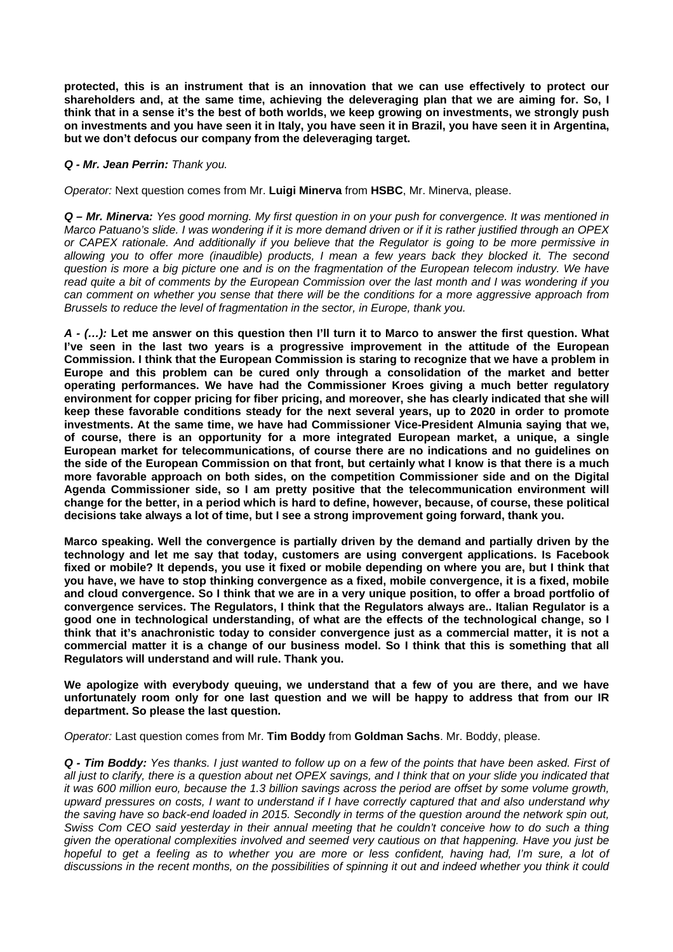**protected, this is an instrument that is an innovation that we can use effectively to protect our shareholders and, at the same time, achieving the deleveraging plan that we are aiming for. So, I think that in a sense it's the best of both worlds, we keep growing on investments, we strongly push on investments and you have seen it in Italy, you have seen it in Brazil, you have seen it in Argentina, but we don't defocus our company from the deleveraging target.** 

# *Q - Mr. Jean Perrin: Thank you.*

*Operator:* Next question comes from Mr. **Luigi Minerva** from **HSBC**, Mr. Minerva, please.

*Q – Mr. Minerva: Yes good morning. My first question in on your push for convergence. It was mentioned in Marco Patuano's slide. I was wondering if it is more demand driven or if it is rather justified through an OPEX or CAPEX rationale. And additionally if you believe that the Regulator is going to be more permissive in allowing you to offer more (inaudible) products, I mean a few years back they blocked it. The second question is more a big picture one and is on the fragmentation of the European telecom industry. We have read quite a bit of comments by the European Commission over the last month and I was wondering if you can comment on whether you sense that there will be the conditions for a more aggressive approach from Brussels to reduce the level of fragmentation in the sector, in Europe, thank you.* 

*A - (…):* **Let me answer on this question then I'll turn it to Marco to answer the first question. What I've seen in the last two years is a progressive improvement in the attitude of the European Commission. I think that the European Commission is staring to recognize that we have a problem in Europe and this problem can be cured only through a consolidation of the market and better operating performances. We have had the Commissioner Kroes giving a much better regulatory environment for copper pricing for fiber pricing, and moreover, she has clearly indicated that she will keep these favorable conditions steady for the next several years, up to 2020 in order to promote investments. At the same time, we have had Commissioner Vice-President Almunia saying that we, of course, there is an opportunity for a more integrated European market, a unique, a single European market for telecommunications, of course there are no indications and no guidelines on the side of the European Commission on that front, but certainly what I know is that there is a much more favorable approach on both sides, on the competition Commissioner side and on the Digital Agenda Commissioner side, so I am pretty positive that the telecommunication environment will change for the better, in a period which is hard to define, however, because, of course, these political decisions take always a lot of time, but I see a strong improvement going forward, thank you.** 

**Marco speaking. Well the convergence is partially driven by the demand and partially driven by the technology and let me say that today, customers are using convergent applications. Is Facebook fixed or mobile? It depends, you use it fixed or mobile depending on where you are, but I think that you have, we have to stop thinking convergence as a fixed, mobile convergence, it is a fixed, mobile and cloud convergence. So I think that we are in a very unique position, to offer a broad portfolio of convergence services. The Regulators, I think that the Regulators always are.. Italian Regulator is a good one in technological understanding, of what are the effects of the technological change, so I think that it's anachronistic today to consider convergence just as a commercial matter, it is not a commercial matter it is a change of our business model. So I think that this is something that all Regulators will understand and will rule. Thank you.** 

**We apologize with everybody queuing, we understand that a few of you are there, and we have unfortunately room only for one last question and we will be happy to address that from our IR department. So please the last question.** 

*Operator:* Last question comes from Mr. **Tim Boddy** from **Goldman Sachs**. Mr. Boddy, please.

*Q - Tim Boddy: Yes thanks. I just wanted to follow up on a few of the points that have been asked. First of all just to clarify, there is a question about net OPEX savings, and I think that on your slide you indicated that it was 600 million euro, because the 1.3 billion savings across the period are offset by some volume growth, upward pressures on costs, I want to understand if I have correctly captured that and also understand why the saving have so back-end loaded in 2015. Secondly in terms of the question around the network spin out, Swiss Com CEO said yesterday in their annual meeting that he couldn't conceive how to do such a thing given the operational complexities involved and seemed very cautious on that happening. Have you just be hopeful to get a feeling as to whether you are more or less confident, having had, I'm sure, a lot of discussions in the recent months, on the possibilities of spinning it out and indeed whether you think it could*